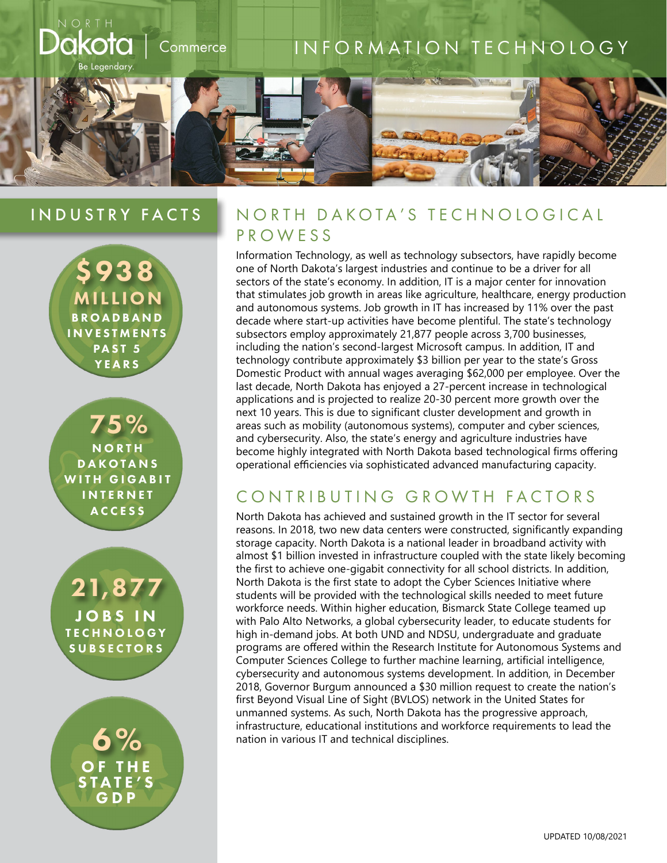# kota INFORMATION TECHNOLOGY Commerce e Legendary

### INDUSTRY FACTS



75% **NORTH DAKOTANS** WITH GIGABIT **INTERNET ACCESS** 

21,877 JOBS IN **TECHNOLOGY SUBSECTORS** 

6% OF THE STATE'S GDP

### NORTH DAKOTA'S TECHNOLOGICAL PROWESS

Information Technology, as well as technology subsectors, have rapidly become one of North Dakota's largest industries and continue to be a driver for all sectors of the state's economy. In addition, IT is a major center for innovation that stimulates job growth in areas like agriculture, healthcare, energy production and autonomous systems. Job growth in IT has increased by 11% over the past decade where start-up activities have become plentiful. The state's technology subsectors employ approximately 21,877 people across 3,700 businesses, including the nation's second-largest Microsoft campus. In addition, IT and technology contribute approximately \$3 billion per year to the state's Gross Domestic Product with annual wages averaging \$62,000 per employee. Over the last decade, North Dakota has enjoyed a 27-percent increase in technological applications and is projected to realize 20-30 percent more growth over the next 10 years. This is due to significant cluster development and growth in areas such as mobility (autonomous systems), computer and cyber sciences, and cybersecurity. Also, the state's energy and agriculture industries have become highly integrated with North Dakota based technological firms offering operational efficiencies via sophisticated advanced manufacturing capacity.

## CONTRIBUTING GROWTH FACTORS

North Dakota has achieved and sustained growth in the IT sector for several reasons. In 2018, two new data centers were constructed, significantly expanding storage capacity. North Dakota is a national leader in broadband activity with almost \$1 billion invested in infrastructure coupled with the state likely becoming the first to achieve one-gigabit connectivity for all school districts. In addition, North Dakota is the first state to adopt the Cyber Sciences Initiative where students will be provided with the technological skills needed to meet future workforce needs. Within higher education, Bismarck State College teamed up with Palo Alto Networks, a global cybersecurity leader, to educate students for high in-demand jobs. At both UND and NDSU, undergraduate and graduate programs are offered within the Research Institute for Autonomous Systems and Computer Sciences College to further machine learning, artificial intelligence, cybersecurity and autonomous systems development. In addition, in December 2018, Governor Burgum announced a \$30 million request to create the nation's first Beyond Visual Line of Sight (BVLOS) network in the United States for unmanned systems. As such, North Dakota has the progressive approach, infrastructure, educational institutions and workforce requirements to lead the nation in various IT and technical disciplines.